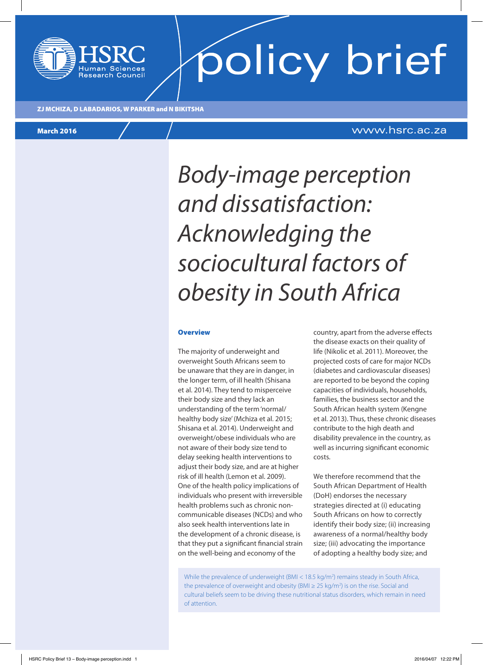ZJ MCHIZA, D LABADARIOS, W PARKER and N BIKITSHA

**Research Council** 

### March 2016 www.hsrc.ac.za

### *Body-image perception and dissatisfaction: Acknowledging the sociocultural factors of obesity in South Africa*

policy brief

#### **Overview**

The majority of underweight and overweight South Africans seem to be unaware that they are in danger, in the longer term, of ill health (Shisana et al. 2014). They tend to misperceive their body size and they lack an understanding of the term 'normal/ healthy body size' (Mchiza et al. 2015; Shisana et al. 2014). Underweight and overweight/obese individuals who are not aware of their body size tend to delay seeking health interventions to adjust their body size, and are at higher risk of ill health (Lemon et al. 2009). One of the health policy implications of individuals who present with irreversible health problems such as chronic noncommunicable diseases (NCDs) and who also seek health interventions late in the development of a chronic disease, is that they put a significant financial strain on the well-being and economy of the

country, apart from the adverse effects the disease exacts on their quality of life (Nikolic et al. 2011). Moreover, the projected costs of care for major NCDs (diabetes and cardiovascular diseases) are reported to be beyond the coping capacities of individuals, households, families, the business sector and the South African health system (Kengne et al. 2013). Thus, these chronic diseases contribute to the high death and disability prevalence in the country, as well as incurring significant economic costs.

We therefore recommend that the South African Department of Health (DoH) endorses the necessary strategies directed at (i) educating South Africans on how to correctly identify their body size; (ii) increasing awareness of a normal/healthy body size; (iii) advocating the importance of adopting a healthy body size; and

While the prevalence of underweight (BMI < 18.5 kg/m<sup>2</sup>) remains steady in South Africa, the prevalence of overweight and obesity (BMI ≥ 25 kg/m<sup>2</sup>) is on the rise. Social and cultural beliefs seem to be driving these nutritional status disorders, which remain in need of attention.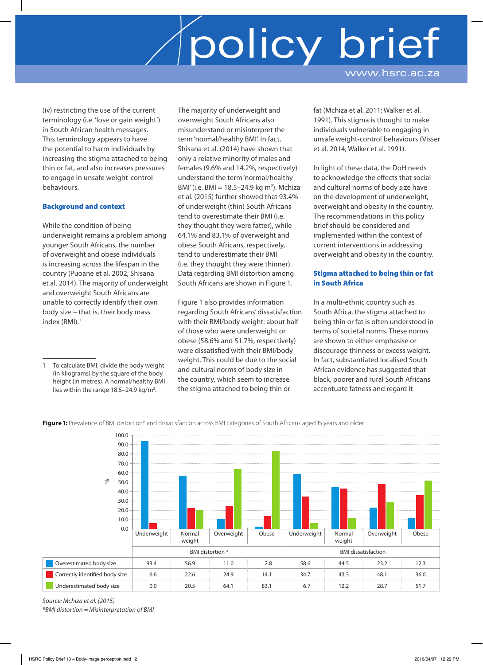## policy brie

www.hsrc.ac.za

(iv) restricting the use of the current terminology (i.e. 'lose or gain weight') in South African health messages. This terminology appears to have the potential to harm individuals by increasing the stigma attached to being thin or fat, and also increases pressures to engage in unsafe weight-control behaviours.

#### Background and context

While the condition of being underweight remains a problem among younger South Africans, the number of overweight and obese individuals is increasing across the lifespan in the country (Puoane et al. 2002; Shisana et al. 2014). The majority of underweight and overweight South Africans are unable to correctly identify their own body size – that is, their body mass index (BMI).<sup>1</sup>

The majority of underweight and overweight South Africans also misunderstand or misinterpret the term 'normal/healthy BMI'. In fact, Shisana et al. (2014) have shown that only a relative minority of males and females (9.6% and 14.2%, respectively) understand the term 'normal/healthy BMI' (i.e. BMI =  $18.5 - 24.9$  kg m<sup>2</sup>). Mchiza et al. (2015) further showed that 93.4% of underweight (thin) South Africans tend to overestimate their BMI (i.e. they thought they were fatter), while 64.1% and 83.1% of overweight and obese South Africans, respectively, tend to underestimate their BMI (i.e. they thought they were thinner). Data regarding BMI distortion among South Africans are shown in Figure 1.

Figure 1 also provides information regarding South Africans' dissatisfaction with their BMI/body weight: about half of those who were underweight or obese (58.6% and 51.7%, respectively) were dissatisfied with their BMI/body weight. This could be due to the social and cultural norms of body size in the country, which seem to increase the stigma attached to being thin or

fat (Mchiza et al. 2011; Walker et al. 1991). This stigma is thought to make individuals vulnerable to engaging in unsafe weight-control behaviours (Visser et al. 2014; Walker et al. 1991).

In light of these data, the DoH needs to acknowledge the effects that social and cultural norms of body size have on the development of underweight, overweight and obesity in the country. The recommendations in this policy brief should be considered and implemented within the context of current interventions in addressing overweight and obesity in the country.

#### Stigma attached to being thin or fat in South Africa

In a multi-ethnic country such as South Africa, the stigma attached to being thin or fat is often understood in terms of societal norms. These norms are shown to either emphasise or discourage thinness or excess weight. In fact, substantiated localised South African evidence has suggested that black, poorer and rural South Africans accentuate fatness and regard it

Figure 1: Prevalence of BMI distortion\* and dissatisfaction across BMI categories of South Africans aged 15 years and older



*Source: Mchiza et al. (2015) \*BMI distortion = Misinterpretation of BMI*

<sup>1</sup> To calculate BMI, divide the body weight (in kilograms) by the square of the body height (in metres). A normal/healthy BMI lies within the range 18.5–24.9 kg/m<sup>2</sup>.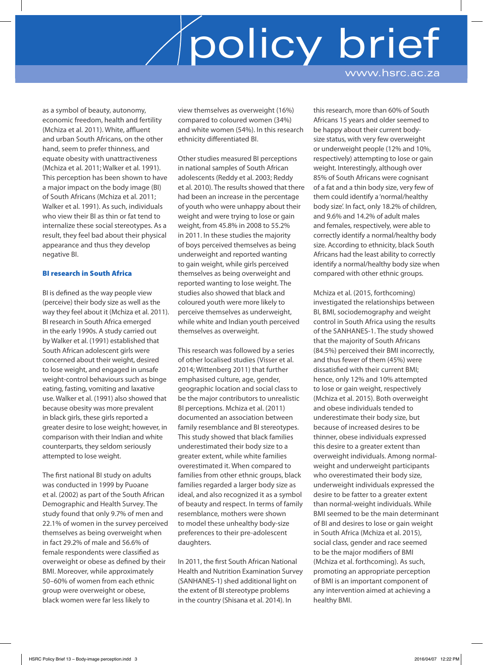### policy brie www.hsrc.ac.za

as a symbol of beauty, autonomy, economic freedom, health and fertility (Mchiza et al. 2011). White, affluent and urban South Africans, on the other hand, seem to prefer thinness, and equate obesity with unattractiveness (Mchiza et al. 2011; Walker et al. 1991). This perception has been shown to have a major impact on the body image (BI) of South Africans (Mchiza et al. 2011; Walker et al. 1991). As such, individuals who view their BI as thin or fat tend to internalize these social stereotypes. As a result, they feel bad about their physical appearance and thus they develop negative BI.

#### BI research in South Africa

BI is defined as the way people view (perceive) their body size as well as the way they feel about it (Mchiza et al. 2011). BI research in South Africa emerged in the early 1990s. A study carried out by Walker et al. (1991) established that South African adolescent girls were concerned about their weight, desired to lose weight, and engaged in unsafe weight-control behaviours such as binge eating, fasting, vomiting and laxative use. Walker et al. (1991) also showed that because obesity was more prevalent in black girls, these girls reported a greater desire to lose weight; however, in comparison with their Indian and white counterparts, they seldom seriously attempted to lose weight.

The first national BI study on adults was conducted in 1999 by Puoane et al. (2002) as part of the South African Demographic and Health Survey. The study found that only 9.7% of men and 22.1% of women in the survey perceived themselves as being overweight when in fact 29.2% of male and 56.6% of female respondents were classified as overweight or obese as defined by their BMI. Moreover, while approximately 50–60% of women from each ethnic group were overweight or obese, black women were far less likely to

view themselves as overweight (16%) compared to coloured women (34%) and white women (54%). In this research ethnicity differentiated BI.

Other studies measured BI perceptions in national samples of South African adolescents (Reddy et al. 2003; Reddy et al. 2010). The results showed that there had been an increase in the percentage of youth who were unhappy about their weight and were trying to lose or gain weight, from 45.8% in 2008 to 55.2% in 2011. In these studies the majority of boys perceived themselves as being underweight and reported wanting to gain weight, while girls perceived themselves as being overweight and reported wanting to lose weight. The studies also showed that black and coloured youth were more likely to perceive themselves as underweight, while white and Indian youth perceived themselves as overweight.

This research was followed by a series of other localised studies (Visser et al. 2014; Wittenberg 2011) that further emphasised culture, age, gender, geographic location and social class to be the major contributors to unrealistic BI perceptions. Mchiza et al. (2011) documented an association between family resemblance and BI stereotypes. This study showed that black families underestimated their body size to a greater extent, while white families overestimated it. When compared to families from other ethnic groups, black families regarded a larger body size as ideal, and also recognized it as a symbol of beauty and respect. In terms of family resemblance, mothers were shown to model these unhealthy body-size preferences to their pre-adolescent daughters.

In 2011, the first South African National Health and Nutrition Examination Survey (SANHANES-1) shed additional light on the extent of BI stereotype problems in the country (Shisana et al. 2014). In

this research, more than 60% of South Africans 15 years and older seemed to be happy about their current bodysize status, with very few overweight or underweight people (12% and 10%, respectively) attempting to lose or gain weight. Interestingly, although over 85% of South Africans were cognisant of a fat and a thin body size, very few of them could identify a 'normal/healthy body size'. In fact, only 18.2% of children, and 9.6% and 14.2% of adult males and females, respectively, were able to correctly identify a normal/healthy body size. According to ethnicity, black South Africans had the least ability to correctly identify a normal/healthy body size when compared with other ethnic groups.

Mchiza et al. (2015, forthcoming) investigated the relationships between BI, BMI, sociodemography and weight control in South Africa using the results of the SANHANES-1. The study showed that the majority of South Africans (84.5%) perceived their BMI incorrectly, and thus fewer of them (45%) were dissatisfied with their current BMI; hence, only 12% and 10% attempted to lose or gain weight, respectively (Mchiza et al. 2015). Both overweight and obese individuals tended to underestimate their body size, but because of increased desires to be thinner, obese individuals expressed this desire to a greater extent than overweight individuals. Among normalweight and underweight participants who overestimated their body size, underweight individuals expressed the desire to be fatter to a greater extent than normal-weight individuals. While BMI seemed to be the main determinant of BI and desires to lose or gain weight in South Africa (Mchiza et al. 2015), social class, gender and race seemed to be the major modifiers of BMI (Mchiza et al. forthcoming). As such, promoting an appropriate perception of BMI is an important component of any intervention aimed at achieving a healthy BMI.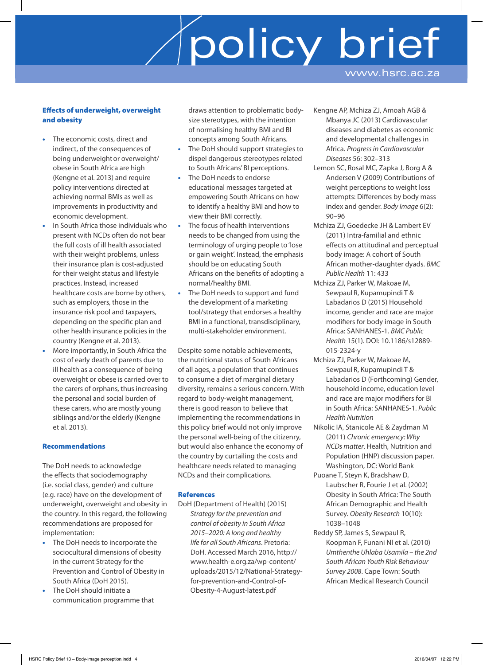## policy brief

www.hsrc.ac.za

#### Effects of underweight, overweight and obesity

- The economic costs, direct and indirect, of the consequences of being underweight or overweight/ obese in South Africa are high (Kengne et al. 2013) and require policy interventions directed at achieving normal BMIs as well as improvements in productivity and economic development.
- In South Africa those individuals who present with NCDs often do not bear the full costs of ill health associated with their weight problems, unless their insurance plan is cost-adjusted for their weight status and lifestyle practices. Instead, increased healthcare costs are borne by others, such as employers, those in the insurance risk pool and taxpayers, depending on the specific plan and other health insurance policies in the country (Kengne et al. 2013).
- More importantly, in South Africa the cost of early death of parents due to ill health as a consequence of being overweight or obese is carried over to the carers of orphans, thus increasing the personal and social burden of these carers, who are mostly young siblings and/or the elderly (Kengne et al. 2013).

#### Recommendations

The DoH needs to acknowledge the effects that sociodemography (i.e. social class, gender) and culture (e.g. race) have on the development of underweight, overweight and obesity in the country. In this regard, the following recommendations are proposed for implementation:

- The DoH needs to incorporate the sociocultural dimensions of obesity in the current Strategy for the Prevention and Control of Obesity in South Africa (DoH 2015).
- The DoH should initiate a communication programme that

draws attention to problematic bodysize stereotypes, with the intention of normalising healthy BMI and BI concepts among South Africans.

- The DoH should support strategies to dispel dangerous stereotypes related to South Africans' BI perceptions.
- The DoH needs to endorse educational messages targeted at empowering South Africans on how to identify a healthy BMI and how to view their BMI correctly.
- The focus of health interventions needs to be changed from using the terminology of urging people to 'lose or gain weight'. Instead, the emphasis should be on educating South Africans on the benefits of adopting a normal/healthy BMI.
- The DoH needs to support and fund the development of a marketing tool/strategy that endorses a healthy BMI in a functional, transdisciplinary, multi-stakeholder environment.

Despite some notable achievements, the nutritional status of South Africans of all ages, a population that continues to consume a diet of marginal dietary diversity, remains a serious concern. With regard to body-weight management, there is good reason to believe that implementing the recommendations in this policy brief would not only improve the personal well-being of the citizenry, but would also enhance the economy of the country by curtailing the costs and healthcare needs related to managing NCDs and their complications.

#### References

DoH (Department of Health) (2015) *Strategy for the prevention and control of obesity in South Africa 2015–2020: A long and healthy life for all South Africans*. Pretoria: DoH. Accessed March 2016, http:// www.health-e.org.za/wp-content/ uploads/2015/12/National-Strategyfor-prevention-and-Control-of-Obesity-4-August-latest.pdf

- Kengne AP, Mchiza ZJ, Amoah AGB & Mbanya JC (2013) Cardiovascular diseases and diabetes as economic and developmental challenges in Africa. *Progress in Cardiovascular Diseases* 56: 302–313
- Lemon SC, Rosal MC, Zapka J, Borg A & Andersen V (2009) Contributions of weight perceptions to weight loss attempts: Differences by body mass index and gender. *Body Image* 6(2): 90–96
- Mchiza ZJ, Goedecke JH & Lambert EV (2011) Intra-familial and ethnic effects on attitudinal and perceptual body image: A cohort of South African mother-daughter dyads. *BMC Public Health* 11: 433
- Mchiza ZJ, Parker W, Makoae M, SewpaulR, Kupamupindi T & Labadarios D (2015) Household income, gender and race are major modifiers for body image in South Africa: SANHANES-1. *BMC Public Health* 15(1). DOI: 10.1186/s12889- 015-2324-y
- Mchiza ZJ, Parker W, Makoae M, SewpaulR, Kupamupindi T & Labadarios D (Forthcoming) Gender, household income, education level and race are major modifiers for BI in South Africa: SANHANES-1. *Public Health Nutrition*
- Nikolic IA, Stanicole AE & Zaydman M (2011) *Chronic emergency: Why NCDs matter*. Health, Nutrition and Population (HNP) discussion paper. Washington, DC: World Bank
- Puoane T, Steyn K, Bradshaw D, Laubscher R, Fourie J et al. (2002) Obesity in South Africa: The South African Demographic and Health Survey. *Obesity Research* 10(10): 1038–1048
- Reddy SP, James S, Sewpaul R, Koopman F, Funani NI et al. (2010) *Umthenthe Uhlaba Usamila – the 2nd South African Youth Risk Behaviour Survey 2008*. Cape Town: South African Medical Research Council